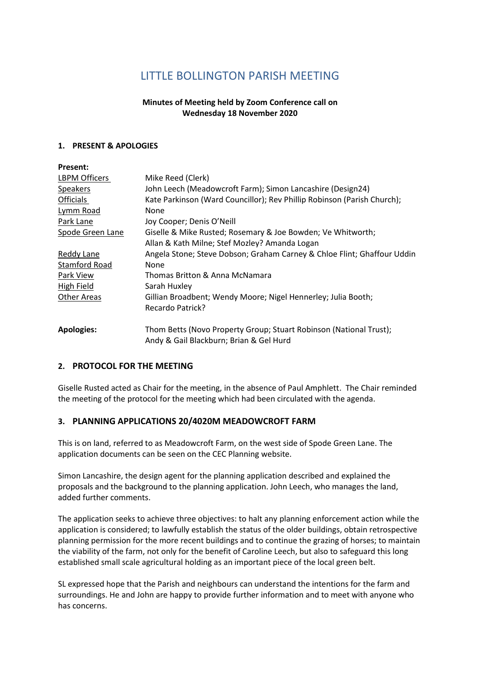# **LITTLE BOLLINGTON PARISH MEETING**

## **Minutes of Meeting held by Zoom Conference call on Wednesday 18 November 2020**

#### **1. PRESENT & APOLOGIES**

| <b>Present:</b>      |                                                                         |
|----------------------|-------------------------------------------------------------------------|
| <b>LBPM Officers</b> | Mike Reed (Clerk)                                                       |
| <b>Speakers</b>      | John Leech (Meadowcroft Farm); Simon Lancashire (Design24)              |
| <b>Officials</b>     | Kate Parkinson (Ward Councillor); Rev Phillip Robinson (Parish Church); |
| Lymm Road            | None                                                                    |
| Park Lane            | Joy Cooper; Denis O'Neill                                               |
| Spode Green Lane     | Giselle & Mike Rusted; Rosemary & Joe Bowden; Ve Whitworth;             |
|                      | Allan & Kath Milne; Stef Mozley? Amanda Logan                           |
| Reddy Lane           | Angela Stone; Steve Dobson; Graham Carney & Chloe Flint; Ghaffour Uddin |
| Stamford Road        | None                                                                    |
| Park View            | Thomas Britton & Anna McNamara                                          |
| High Field           | Sarah Huxley                                                            |
| Other Areas          | Gillian Broadbent; Wendy Moore; Nigel Hennerley; Julia Booth;           |
|                      | Recardo Patrick?                                                        |
| <b>Apologies:</b>    | Thom Betts (Novo Property Group; Stuart Robinson (National Trust);      |
|                      | Andy & Gail Blackburn; Brian & Gel Hurd                                 |

#### **2. PROTOCOL FOR THE MEETING**

Giselle Rusted acted as Chair for the meeting, in the absence of Paul Amphlett. The Chair reminded the meeting of the protocol for the meeting which had been circulated with the agenda.

## **3. PLANNING APPLICATIONS 20/4020M MEADOWCROFT FARM**

This is on land, referred to as Meadowcroft Farm, on the west side of Spode Green Lane. The application documents can be seen on the CEC Planning website.

Simon Lancashire, the design agent for the planning application described and explained the proposals and the background to the planning application. John Leech, who manages the land, added further comments.

The application seeks to achieve three objectives: to halt any planning enforcement action while the application is considered; to lawfully establish the status of the older buildings, obtain retrospective planning permission for the more recent buildings and to continue the grazing of horses; to maintain the viability of the farm, not only for the benefit of Caroline Leech, but also to safeguard this long established small scale agricultural holding as an important piece of the local green belt.

SL expressed hope that the Parish and neighbours can understand the intentions for the farm and surroundings. He and John are happy to provide further information and to meet with anyone who has concerns.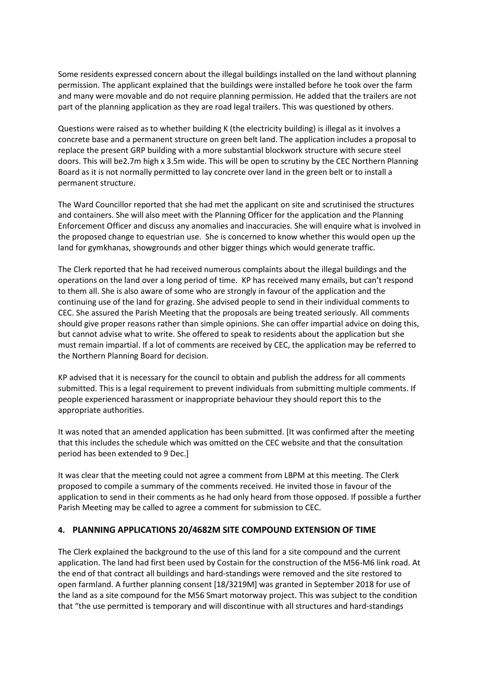Some residents expressed concern about the illegal buildings installed on the land without planning permission. The applicant explained that the buildings were installed before he took over the farm and many were movable and do not require planning permission. He added that the trailers are not part of the planning application as they are road legal trailers. This was questioned by others.

Questions were raised as to whether building K (the electricity building) is illegal as it involves a concrete base and a permanent structure on green belt land. The application includes a proposal to replace the present GRP building with a more substantial blockwork structure with secure steel doors. This will be2.7m high x 3.5m wide. This will be open to scrutiny by the CEC Northern Planning Board as it is not normally permitted to lay concrete over land in the green belt or to install a permanent structure.

The Ward Councillor reported that she had met the applicant on site and scrutinised the structures and containers. She will also meet with the Planning Officer for the application and the Planning Enforcement Officer and discuss any anomalies and inaccuracies. She will enquire what is involved in the proposed change to equestrian use. She is concerned to know whether this would open up the land for gymkhanas, showgrounds and other bigger things which would generate traffic.

The Clerk reported that he had received numerous complaints about the illegal buildings and the operations on the land over a long period of time. KP has received many emails, but can't respond to them all. She is also aware of some who are strongly in favour of the application and the continuing use of the land for grazing. She advised people to send in their individual comments to CEC. She assured the Parish Meeting that the proposals are being treated seriously. All comments should give proper reasons rather than simple opinions. She can offer impartial advice on doing this, but cannot advise what to write. She offered to speak to residents about the application but she must remain impartial. If a lot of comments are received by CEC, the application may be referred to the Northern Planning Board for decision.

KP advised that it is necessary for the council to obtain and publish the address for all comments submitted. This is a legal requirement to prevent individuals from submitting multiple comments. If people experienced harassment or inappropriate behaviour they should report this to the appropriate authorities.

It was noted that an amended application has been submitted. [It was confirmed after the meeting that this includes the schedule which was omitted on the CEC website and that the consultation period has been extended to 9 Dec.]

It was clear that the meeting could not agree a comment from LBPM at this meeting. The Clerk proposed to compile a summary of the comments received. He invited those in favour of the application to send in their comments as he had only heard from those opposed. If possible a further Parish Meeting may be called to agree a comment for submission to CEC.

## **4. PLANNING APPLICATIONS 20/4682M SITE COMPOUND EXTENSION OF TIME**

The Clerk explained the background to the use of this land for a site compound and the current application. The land had first been used by Costain for the construction of the M56-M6 link road. At the end of that contract all buildings and hard-standings were removed and the site restored to open farmland. A further planning consent [18/3219M] was granted in September 2018 for use of the land as a site compound for the M56 Smart motorway project. This was subject to the condition that "the use permitted is temporary and will discontinue with all structures and hard-standings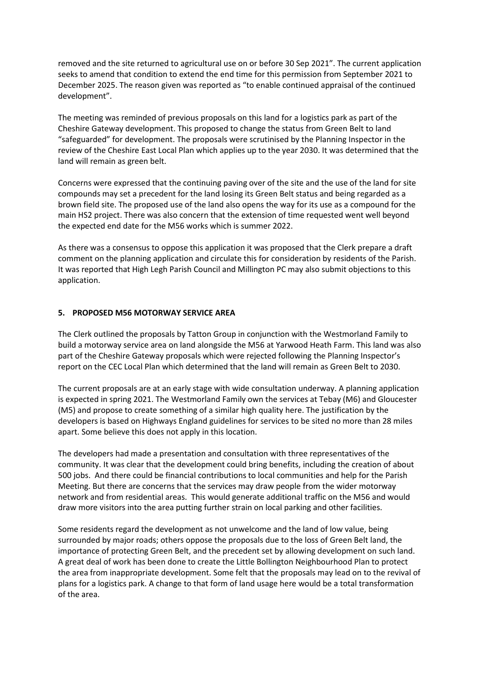removed and the site returned to agricultural use on or before 30 Sep 2021". The current application seeks to amend that condition to extend the end time for this permission from September 2021 to December 2025. The reason given was reported as "to enable continued appraisal of the continued development".

The meeting was reminded of previous proposals on this land for a logistics park as part of the Cheshire Gateway development. This proposed to change the status from Green Belt to land "safeguarded" for development. The proposals were scrutinised by the Planning Inspector in the review of the Cheshire East Local Plan which applies up to the year 2030. It was determined that the land will remain as green belt.

Concerns were expressed that the continuing paving over of the site and the use of the land for site compounds may set a precedent for the land losing its Green Belt status and being regarded as a brown field site. The proposed use of the land also opens the way for its use as a compound for the main HS2 project. There was also concern that the extension of time requested went well beyond the expected end date for the M56 works which is summer 2022.

As there was a consensus to oppose this application it was proposed that the Clerk prepare a draft comment on the planning application and circulate this for consideration by residents of the Parish. It was reported that High Legh Parish Council and Millington PC may also submit objections to this application.

#### **5. PROPOSED M56 MOTORWAY SERVICE AREA**

The Clerk outlined the proposals by Tatton Group in conjunction with the Westmorland Family to build a motorway service area on land alongside the M56 at Yarwood Heath Farm. This land was also part of the Cheshire Gateway proposals which were rejected following the Planning Inspector's report on the CEC Local Plan which determined that the land will remain as Green Belt to 2030.

The current proposals are at an early stage with wide consultation underway. A planning application is expected in spring 2021. The Westmorland Family own the services at Tebay (M6) and Gloucester (M5) and propose to create something of a similar high quality here. The justification by the developers is based on Highways England guidelines for services to be sited no more than 28 miles apart. Some believe this does not apply in this location.

The developers had made a presentation and consultation with three representatives of the community. It was clear that the development could bring benefits, including the creation of about 500 jobs. And there could be financial contributions to local communities and help for the Parish Meeting. But there are concerns that the services may draw people from the wider motorway network and from residential areas. This would generate additional traffic on the M56 and would draw more visitors into the area putting further strain on local parking and other facilities.

Some residents regard the development as not unwelcome and the land of low value, being surrounded by major roads; others oppose the proposals due to the loss of Green Belt land, the importance of protecting Green Belt, and the precedent set by allowing development on such land. A great deal of work has been done to create the Little Bollington Neighbourhood Plan to protect the area from inappropriate development. Some felt that the proposals may lead on to the revival of plans for a logistics park. A change to that form of land usage here would be a total transformation of the area.